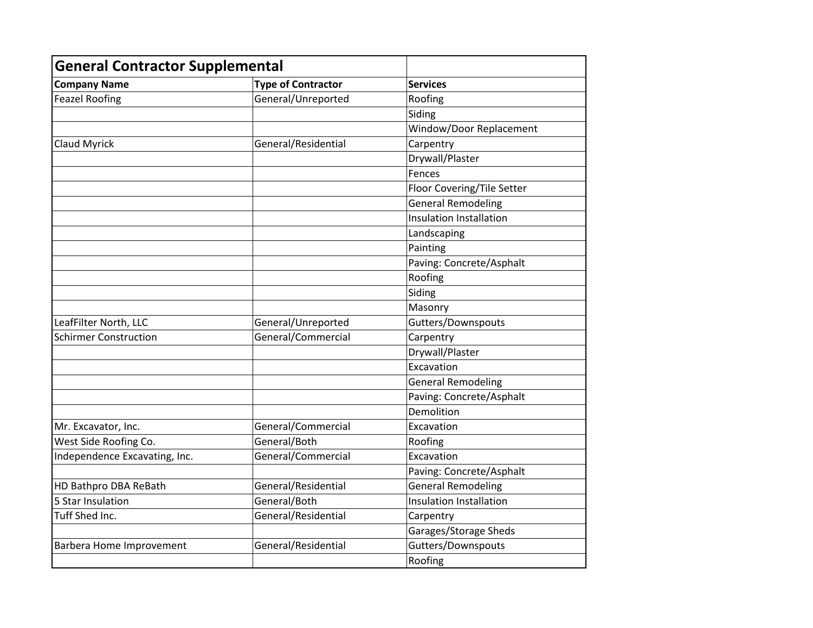| <b>General Contractor Supplemental</b> |                           |                            |
|----------------------------------------|---------------------------|----------------------------|
| <b>Company Name</b>                    | <b>Type of Contractor</b> | <b>Services</b>            |
| <b>Feazel Roofing</b>                  | General/Unreported        | Roofing                    |
|                                        |                           | Siding                     |
|                                        |                           | Window/Door Replacement    |
| <b>Claud Myrick</b>                    | General/Residential       | Carpentry                  |
|                                        |                           | Drywall/Plaster            |
|                                        |                           | Fences                     |
|                                        |                           | Floor Covering/Tile Setter |
|                                        |                           | <b>General Remodeling</b>  |
|                                        |                           | Insulation Installation    |
|                                        |                           | Landscaping                |
|                                        |                           | Painting                   |
|                                        |                           | Paving: Concrete/Asphalt   |
|                                        |                           | Roofing                    |
|                                        |                           | Siding                     |
|                                        |                           | Masonry                    |
| LeafFilter North, LLC                  | General/Unreported        | Gutters/Downspouts         |
| <b>Schirmer Construction</b>           | General/Commercial        | Carpentry                  |
|                                        |                           | Drywall/Plaster            |
|                                        |                           | Excavation                 |
|                                        |                           | <b>General Remodeling</b>  |
|                                        |                           | Paving: Concrete/Asphalt   |
|                                        |                           | Demolition                 |
| Mr. Excavator, Inc.                    | General/Commercial        | Excavation                 |
| West Side Roofing Co.                  | General/Both              | Roofing                    |
| Independence Excavating, Inc.          | General/Commercial        | Excavation                 |
|                                        |                           | Paving: Concrete/Asphalt   |
| HD Bathpro DBA ReBath                  | General/Residential       | <b>General Remodeling</b>  |
| 5 Star Insulation                      | General/Both              | Insulation Installation    |
| Tuff Shed Inc.                         | General/Residential       | Carpentry                  |
|                                        |                           | Garages/Storage Sheds      |
| <b>Barbera Home Improvement</b>        | General/Residential       | Gutters/Downspouts         |
|                                        |                           | Roofing                    |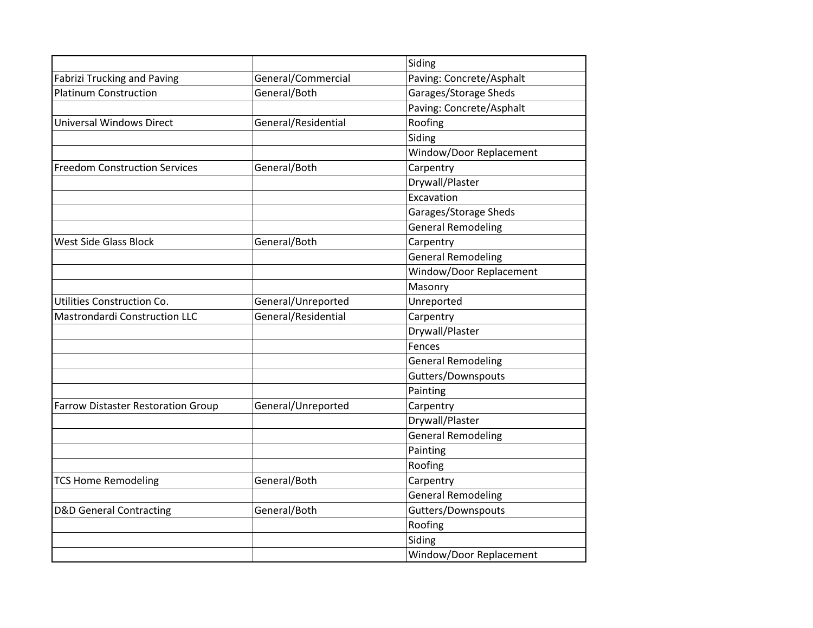|                                           |                           | Siding                    |  |
|-------------------------------------------|---------------------------|---------------------------|--|
| <b>Fabrizi Trucking and Paving</b>        | General/Commercial        | Paving: Concrete/Asphalt  |  |
| <b>Platinum Construction</b>              | General/Both              | Garages/Storage Sheds     |  |
|                                           |                           | Paving: Concrete/Asphalt  |  |
| <b>Universal Windows Direct</b>           | General/Residential       | Roofing                   |  |
|                                           |                           | Siding                    |  |
|                                           |                           | Window/Door Replacement   |  |
| <b>Freedom Construction Services</b>      | General/Both              | Carpentry                 |  |
|                                           |                           | Drywall/Plaster           |  |
|                                           |                           | Excavation                |  |
|                                           |                           | Garages/Storage Sheds     |  |
|                                           |                           | <b>General Remodeling</b> |  |
| <b>West Side Glass Block</b>              | General/Both              | Carpentry                 |  |
|                                           |                           | <b>General Remodeling</b> |  |
|                                           |                           | Window/Door Replacement   |  |
|                                           |                           | Masonry                   |  |
| Utilities Construction Co.                | General/Unreported        | Unreported                |  |
| <b>Mastrondardi Construction LLC</b>      | General/Residential       | Carpentry                 |  |
|                                           |                           | Drywall/Plaster           |  |
|                                           |                           | Fences                    |  |
|                                           |                           | <b>General Remodeling</b> |  |
|                                           |                           | Gutters/Downspouts        |  |
|                                           | Painting                  |                           |  |
| <b>Farrow Distaster Restoration Group</b> | General/Unreported        | Carpentry                 |  |
|                                           |                           | Drywall/Plaster           |  |
|                                           |                           | <b>General Remodeling</b> |  |
|                                           |                           | Painting                  |  |
|                                           |                           | Roofing                   |  |
| <b>TCS Home Remodeling</b>                | General/Both<br>Carpentry |                           |  |
|                                           |                           | <b>General Remodeling</b> |  |
| <b>D&amp;D General Contracting</b>        | General/Both              | Gutters/Downspouts        |  |
|                                           |                           | Roofing                   |  |
|                                           |                           | Siding                    |  |
|                                           |                           | Window/Door Replacement   |  |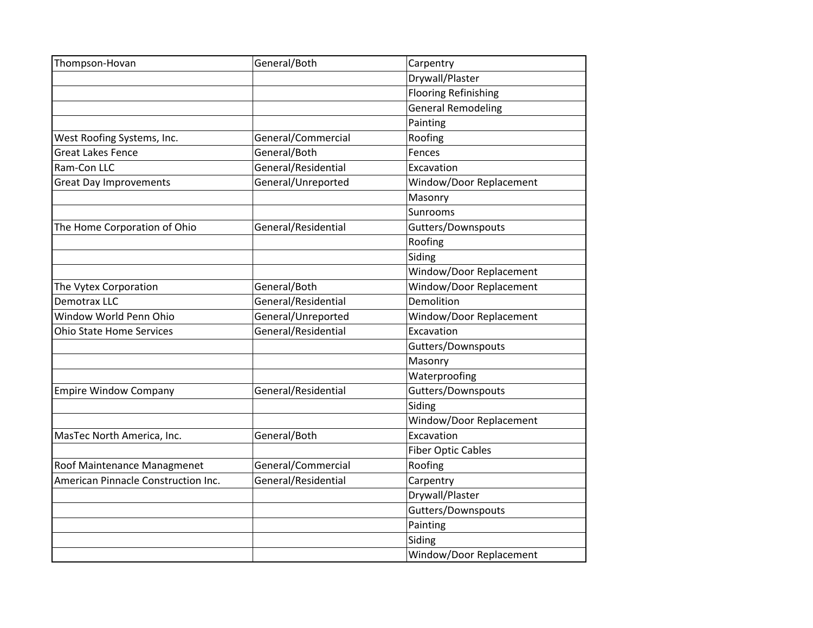| Thompson-Hovan                      | General/Both                      | Carpentry                   |
|-------------------------------------|-----------------------------------|-----------------------------|
|                                     |                                   | Drywall/Plaster             |
|                                     |                                   | <b>Flooring Refinishing</b> |
|                                     |                                   | <b>General Remodeling</b>   |
|                                     |                                   | Painting                    |
| West Roofing Systems, Inc.          | General/Commercial                | Roofing                     |
| <b>Great Lakes Fence</b>            | General/Both                      | Fences                      |
| Ram-Con LLC                         | General/Residential               | Excavation                  |
| <b>Great Day Improvements</b>       | General/Unreported                | Window/Door Replacement     |
|                                     |                                   | Masonry                     |
|                                     |                                   | Sunrooms                    |
| The Home Corporation of Ohio        | General/Residential               | Gutters/Downspouts          |
|                                     |                                   | Roofing                     |
|                                     |                                   | Siding                      |
|                                     |                                   | Window/Door Replacement     |
| The Vytex Corporation               | General/Both                      | Window/Door Replacement     |
| <b>Demotrax LLC</b>                 | General/Residential               | Demolition                  |
| Window World Penn Ohio              | General/Unreported                | Window/Door Replacement     |
| <b>Ohio State Home Services</b>     | General/Residential<br>Excavation |                             |
|                                     |                                   | Gutters/Downspouts          |
|                                     |                                   | Masonry                     |
|                                     |                                   | Waterproofing               |
| <b>Empire Window Company</b>        | General/Residential               | Gutters/Downspouts          |
|                                     |                                   | Siding                      |
|                                     |                                   | Window/Door Replacement     |
| MasTec North America, Inc.          | General/Both                      | Excavation                  |
|                                     |                                   | <b>Fiber Optic Cables</b>   |
| Roof Maintenance Managmenet         | General/Commercial                | Roofing                     |
| American Pinnacle Construction Inc. | General/Residential               | Carpentry                   |
|                                     |                                   | Drywall/Plaster             |
|                                     |                                   | Gutters/Downspouts          |
|                                     |                                   | Painting                    |
|                                     |                                   | Siding                      |
|                                     |                                   | Window/Door Replacement     |